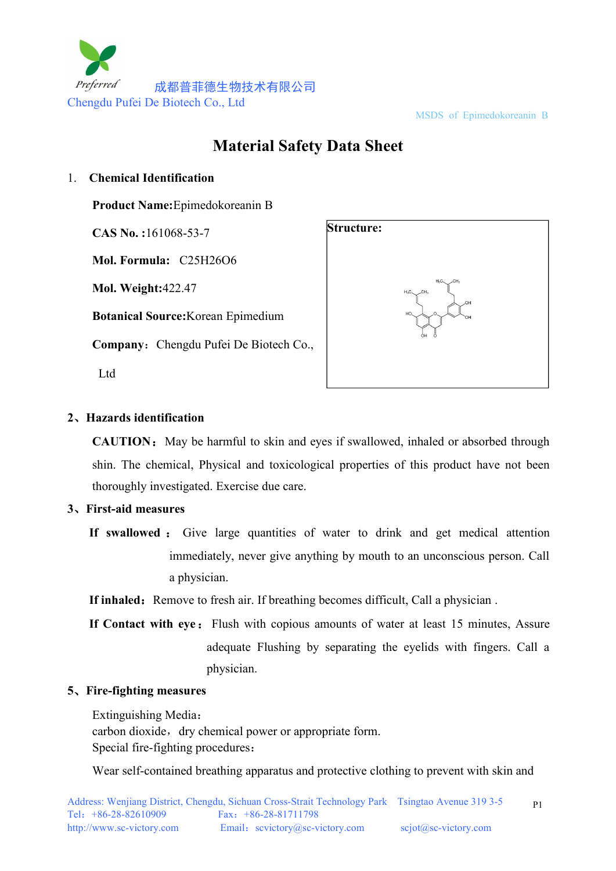

#### MSDS of Epimedokoreanin B

# **Material Safety Data Sheet**

#### 1. **Chemical Identification**

**Product Name:**Epimedokoreanin B

**CAS No. :**161068-53-7

**Mol. Formula:** C25H26O6

**Mol. Weight:**422.47

**Botanical Source:**Korean Epimedium

**Company:** Chengdu Pufei De Biotech Co.,

Ltd



## **2**、**Hazards identification**

**CAUTION:** May be harmful to skin and eyes if swallowed, inhaled or absorbed through shin. The chemical, Physical and toxicological properties of this product have not been thoroughly investigated. Exercise due care.

## **3**、**First-aid measures**

**If inhaled:** Remove to fresh air. If breathing becomes difficult, Call a physician .

**If Contact with eye:** Flush with copious amounts of water at least 15 minutes, Assure adequate Flushing by separating the eyelids with fingers. Call a physician.

## **5**、**Fire-fighting measures**

Extinguishing Media: carbon dioxide, dry chemical power or appropriate form. Special fire-fighting procedures:

Wear self-contained breathing apparatus and protective clothing to prevent with skin and

**If swallowed** : Give large quantities of water to drink and get medical attention immediately, never give anything by mouth to an unconscious person. Call a physician.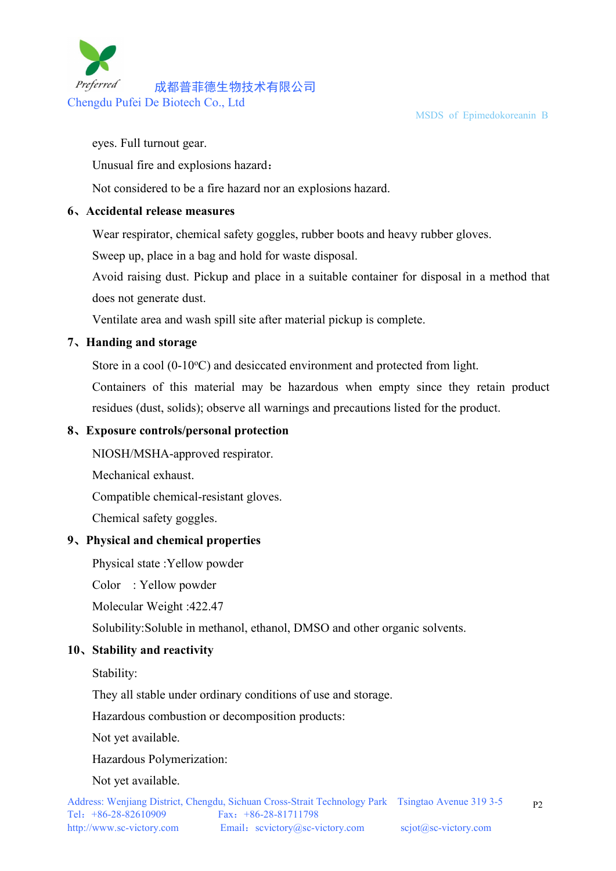MSDS of Epimedokoreanin B



eyes. Full turnout gear.

Unusual fire and explosions hazard:

Not considered to be a fire hazard nor an explosions hazard.

## **6**、**Accidental release measures**

Wear respirator, chemical safety goggles, rubber boots and heavy rubber gloves.

Sweep up, place in a bag and hold for waste disposal.

Avoid raising dust. Pickup and place in a suitable container for disposal in a method that does not generate dust.

Ventilate area and wash spill site after material pickup is complete.

# **7**、**Handing and storage**

Store in a cool  $(0-10\text{°C})$  and desiccated environment and protected from light.

Containers of this material may be hazardous when empty since they retain product residues (dust, solids); observe all warnings and precautions listed for the product.

# **8**、**Exposure controls/personal protection**

NIOSH/MSHA-approved respirator.

Mechanical exhaust.

Compatible chemical-resistant gloves.

Chemical safety goggles.

## **9**、**Physical and chemical properties**

Physical state :Yellow powder

Color : Yellow powder

Molecular Weight :422.47

Solubility:Soluble in methanol, ethanol, DMSO and other organic solvents.

# **10**、**Stability and reactivity**

Stability:

They all stable under ordinary conditions of use and storage.

Hazardous combustion or decomposition products:

Not yet available.

Hazardous Polymerization:

Not yet available.